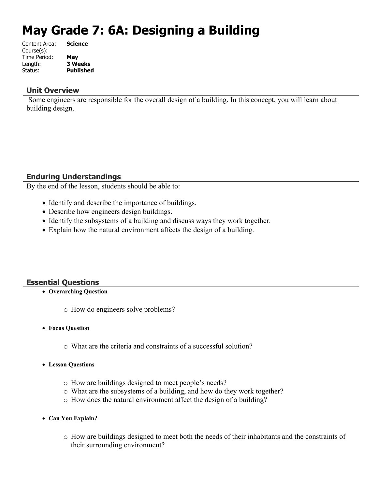# **May Grade 7: 6A: Designing a Building**

| Content Area: | <b>Science</b>   |
|---------------|------------------|
| Course(s):    |                  |
| Time Period:  | May              |
| Length:       | <b>3 Weeks</b>   |
| Status:       | <b>Published</b> |
|               |                  |

#### **Unit Overview**

 Some engineers are responsible for the overall design of a building. In this concept, you will learn about building design.

## **Enduring Understandings**

By the end of the lesson, students should be able to:

- Identify and describe the importance of buildings.
- Describe how engineers design buildings.
- Identify the subsystems of a building and discuss ways they work together.
- Explain how the natural environment affects the design of a building.

## **Essential Questions**

- **Overarching Question**
	- o How do engineers solve problems?
- **Focus Question**
	- o What are the criteria and constraints of a successful solution?
- **Lesson Questions**
	- o How are buildings designed to meet people's needs?
	- o What are the subsystems of a building, and how do they work together?
	- o How does the natural environment affect the design of a building?
- **Can You Explain?**
	- o How are buildings designed to meet both the needs of their inhabitants and the constraints of their surrounding environment?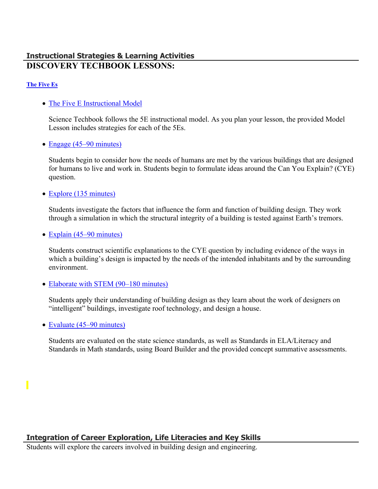## **Instructional Strategies & Learning Activities DISCOVERY TECHBOOK LESSONS:**

#### **[The Five Es](https://app.discoveryeducation.com/learn/techbook/units/8e132798-1b5b-4045-99a8-f7ceabe9068e/concepts/0e677c62-6b7c-44c5-817a-0998dd1e3766/lesson/sections/5f0336df-5e35-4a44-951b-43629aa27e7c)**

• [The Five E Instructional Model](https://app.discoveryeducation.com/learn/techbook/units/8e132798-1b5b-4045-99a8-f7ceabe9068e/concepts/0e677c62-6b7c-44c5-817a-0998dd1e3766/lesson/sections/5f0336df-5e35-4a44-951b-43629aa27e7c#a5146bff-9d77-4526-afea-584d3204f457)

Science Techbook follows the 5E instructional model. As you plan your lesson, the provided Model Lesson includes strategies for each of the 5Es.

• [Engage \(45–90 minutes\)](https://app.discoveryeducation.com/learn/techbook/units/8e132798-1b5b-4045-99a8-f7ceabe9068e/concepts/0e677c62-6b7c-44c5-817a-0998dd1e3766/lesson/sections/5f0336df-5e35-4a44-951b-43629aa27e7c#8a44869c-c690-4217-b385-0319db249275)

Students begin to consider how the needs of humans are met by the various buildings that are designed for humans to live and work in. Students begin to formulate ideas around the Can You Explain? (CYE) question.

• [Explore \(135 minutes\)](https://app.discoveryeducation.com/learn/techbook/units/8e132798-1b5b-4045-99a8-f7ceabe9068e/concepts/0e677c62-6b7c-44c5-817a-0998dd1e3766/lesson/sections/5f0336df-5e35-4a44-951b-43629aa27e7c#e39de971-be67-4183-890e-27766733c02d)

Students investigate the factors that influence the form and function of building design. They work through a simulation in which the structural integrity of a building is tested against Earth's tremors.

• [Explain \(45–90 minutes\)](https://app.discoveryeducation.com/learn/techbook/units/8e132798-1b5b-4045-99a8-f7ceabe9068e/concepts/0e677c62-6b7c-44c5-817a-0998dd1e3766/lesson/sections/5f0336df-5e35-4a44-951b-43629aa27e7c#97334ef6-f18a-4412-b303-22bf4d5bbf17)

Students construct scientific explanations to the CYE question by including evidence of the ways in which a building's design is impacted by the needs of the intended inhabitants and by the surrounding environment.

• [Elaborate with STEM \(90–180 minutes\)](https://app.discoveryeducation.com/learn/techbook/units/8e132798-1b5b-4045-99a8-f7ceabe9068e/concepts/0e677c62-6b7c-44c5-817a-0998dd1e3766/lesson/sections/5f0336df-5e35-4a44-951b-43629aa27e7c#6e4be733-3156-4985-96da-86e7c4320105)

Students apply their understanding of building design as they learn about the work of designers on "intelligent" buildings, investigate roof technology, and design a house.

• [Evaluate \(45–90 minutes\)](https://app.discoveryeducation.com/learn/techbook/units/8e132798-1b5b-4045-99a8-f7ceabe9068e/concepts/0e677c62-6b7c-44c5-817a-0998dd1e3766/lesson/sections/5f0336df-5e35-4a44-951b-43629aa27e7c#cd199aaf-a8a9-46ab-b72e-79bd91a6c2f3)

Students are evaluated on the state science standards, as well as Standards in ELA/Literacy and Standards in Math standards, using Board Builder and the provided concept summative assessments.

## **Integration of Career Exploration, Life Literacies and Key Skills**

Students will explore the careers involved in building design and engineering.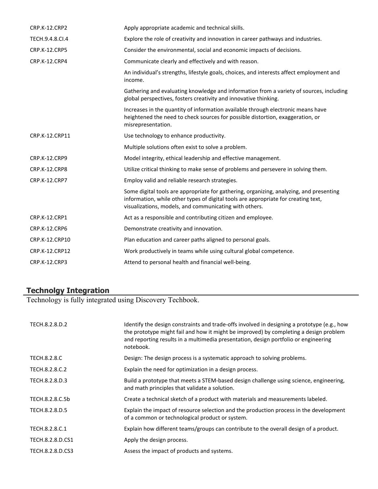| <b>CRP.K-12.CRP2</b> | Apply appropriate academic and technical skills.                                                                                                                                                                                        |
|----------------------|-----------------------------------------------------------------------------------------------------------------------------------------------------------------------------------------------------------------------------------------|
| TECH.9.4.8.CI.4      | Explore the role of creativity and innovation in career pathways and industries.                                                                                                                                                        |
| <b>CRP.K-12.CRP5</b> | Consider the environmental, social and economic impacts of decisions.                                                                                                                                                                   |
| CRP.K-12.CRP4        | Communicate clearly and effectively and with reason.                                                                                                                                                                                    |
|                      | An individual's strengths, lifestyle goals, choices, and interests affect employment and<br>income.                                                                                                                                     |
|                      | Gathering and evaluating knowledge and information from a variety of sources, including<br>global perspectives, fosters creativity and innovative thinking.                                                                             |
|                      | Increases in the quantity of information available through electronic means have<br>heightened the need to check sources for possible distortion, exaggeration, or<br>misrepresentation.                                                |
| CRP.K-12.CRP11       | Use technology to enhance productivity.                                                                                                                                                                                                 |
|                      | Multiple solutions often exist to solve a problem.                                                                                                                                                                                      |
| <b>CRP.K-12.CRP9</b> | Model integrity, ethical leadership and effective management.                                                                                                                                                                           |
| <b>CRP.K-12.CRP8</b> | Utilize critical thinking to make sense of problems and persevere in solving them.                                                                                                                                                      |
| CRP.K-12.CRP7        | Employ valid and reliable research strategies.                                                                                                                                                                                          |
|                      | Some digital tools are appropriate for gathering, organizing, analyzing, and presenting<br>information, while other types of digital tools are appropriate for creating text,<br>visualizations, models, and communicating with others. |
| <b>CRP.K-12.CRP1</b> | Act as a responsible and contributing citizen and employee.                                                                                                                                                                             |
| <b>CRP.K-12.CRP6</b> | Demonstrate creativity and innovation.                                                                                                                                                                                                  |
| CRP.K-12.CRP10       | Plan education and career paths aligned to personal goals.                                                                                                                                                                              |
| CRP.K-12.CRP12       | Work productively in teams while using cultural global competence.                                                                                                                                                                      |
| CRP.K-12.CRP3        | Attend to personal health and financial well-being.                                                                                                                                                                                     |

## **Technolgy Integration**

Technology is fully integrated using Discovery Techbook.

| TECH.8.2.8.D.2      | Identify the design constraints and trade-offs involved in designing a prototype (e.g., how<br>the prototype might fail and how it might be improved) by completing a design problem<br>and reporting results in a multimedia presentation, design portfolio or engineering<br>notebook. |
|---------------------|------------------------------------------------------------------------------------------------------------------------------------------------------------------------------------------------------------------------------------------------------------------------------------------|
| <b>TECH.8.2.8.C</b> | Design: The design process is a systematic approach to solving problems.                                                                                                                                                                                                                 |
| TECH.8.2.8.C.2      | Explain the need for optimization in a design process.                                                                                                                                                                                                                                   |
| TECH.8.2.8.D.3      | Build a prototype that meets a STEM-based design challenge using science, engineering,<br>and math principles that validate a solution.                                                                                                                                                  |
| TECH.8.2.8.C.5b     | Create a technical sketch of a product with materials and measurements labeled.                                                                                                                                                                                                          |
| TECH.8.2.8.D.5      | Explain the impact of resource selection and the production process in the development<br>of a common or technological product or system.                                                                                                                                                |
| TECH.8.2.8.C.1      | Explain how different teams/groups can contribute to the overall design of a product.                                                                                                                                                                                                    |
| TECH.8.2.8.D.CS1    | Apply the design process.                                                                                                                                                                                                                                                                |
| TECH.8.2.8.D.CS3    | Assess the impact of products and systems.                                                                                                                                                                                                                                               |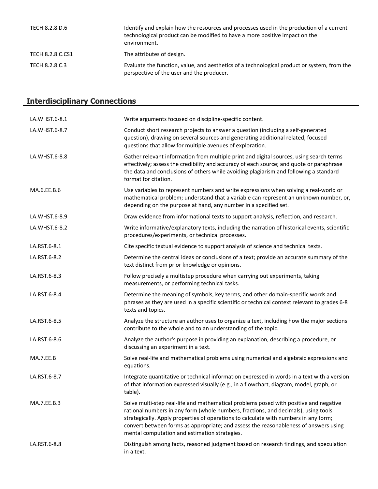| TECH.8.2.8.D.6   | Identify and explain how the resources and processes used in the production of a current<br>technological product can be modified to have a more positive impact on the<br>environment. |
|------------------|-----------------------------------------------------------------------------------------------------------------------------------------------------------------------------------------|
| TECH.8.2.8.C.CS1 | The attributes of design.                                                                                                                                                               |
| TECH.8.2.8.C.3   | Evaluate the function, value, and aesthetics of a technological product or system, from the<br>perspective of the user and the producer.                                                |

| <b>Interdisciplinary Connections</b> |                                                                                                                                                                                                                                                                                                                                                                                                              |  |
|--------------------------------------|--------------------------------------------------------------------------------------------------------------------------------------------------------------------------------------------------------------------------------------------------------------------------------------------------------------------------------------------------------------------------------------------------------------|--|
| LA.WHST.6-8.1                        | Write arguments focused on discipline-specific content.                                                                                                                                                                                                                                                                                                                                                      |  |
| LA.WHST.6-8.7                        | Conduct short research projects to answer a question (including a self-generated<br>question), drawing on several sources and generating additional related, focused<br>questions that allow for multiple avenues of exploration.                                                                                                                                                                            |  |
| LA.WHST.6-8.8                        | Gather relevant information from multiple print and digital sources, using search terms<br>effectively; assess the credibility and accuracy of each source; and quote or paraphrase<br>the data and conclusions of others while avoiding plagiarism and following a standard<br>format for citation.                                                                                                         |  |
| MA.6.EE.B.6                          | Use variables to represent numbers and write expressions when solving a real-world or<br>mathematical problem; understand that a variable can represent an unknown number, or,<br>depending on the purpose at hand, any number in a specified set.                                                                                                                                                           |  |
| LA.WHST.6-8.9                        | Draw evidence from informational texts to support analysis, reflection, and research.                                                                                                                                                                                                                                                                                                                        |  |
| LA.WHST.6-8.2                        | Write informative/explanatory texts, including the narration of historical events, scientific<br>procedures/experiments, or technical processes.                                                                                                                                                                                                                                                             |  |
| LA.RST.6-8.1                         | Cite specific textual evidence to support analysis of science and technical texts.                                                                                                                                                                                                                                                                                                                           |  |
| LA.RST.6-8.2                         | Determine the central ideas or conclusions of a text; provide an accurate summary of the<br>text distinct from prior knowledge or opinions.                                                                                                                                                                                                                                                                  |  |
| LA.RST.6-8.3                         | Follow precisely a multistep procedure when carrying out experiments, taking<br>measurements, or performing technical tasks.                                                                                                                                                                                                                                                                                 |  |
| LA.RST.6-8.4                         | Determine the meaning of symbols, key terms, and other domain-specific words and<br>phrases as they are used in a specific scientific or technical context relevant to grades 6-8<br>texts and topics.                                                                                                                                                                                                       |  |
| LA.RST.6-8.5                         | Analyze the structure an author uses to organize a text, including how the major sections<br>contribute to the whole and to an understanding of the topic.                                                                                                                                                                                                                                                   |  |
| LA.RST.6-8.6                         | Analyze the author's purpose in providing an explanation, describing a procedure, or<br>discussing an experiment in a text.                                                                                                                                                                                                                                                                                  |  |
| MA.7.EE.B                            | Solve real-life and mathematical problems using numerical and algebraic expressions and<br>equations.                                                                                                                                                                                                                                                                                                        |  |
| LA.RST.6-8.7                         | Integrate quantitative or technical information expressed in words in a text with a version<br>of that information expressed visually (e.g., in a flowchart, diagram, model, graph, or<br>table).                                                                                                                                                                                                            |  |
| MA.7.EE.B.3                          | Solve multi-step real-life and mathematical problems posed with positive and negative<br>rational numbers in any form (whole numbers, fractions, and decimals), using tools<br>strategically. Apply properties of operations to calculate with numbers in any form;<br>convert between forms as appropriate; and assess the reasonableness of answers using<br>mental computation and estimation strategies. |  |
| LA.RST.6-8.8                         | Distinguish among facts, reasoned judgment based on research findings, and speculation<br>in a text.                                                                                                                                                                                                                                                                                                         |  |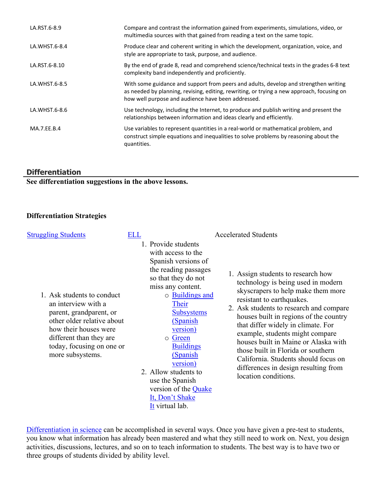| LA.RST.6-8.9  | Compare and contrast the information gained from experiments, simulations, video, or<br>multimedia sources with that gained from reading a text on the same topic.                                                                       |
|---------------|------------------------------------------------------------------------------------------------------------------------------------------------------------------------------------------------------------------------------------------|
| LA.WHST.6-8.4 | Produce clear and coherent writing in which the development, organization, voice, and<br>style are appropriate to task, purpose, and audience.                                                                                           |
| LA.RST.6-8.10 | By the end of grade 8, read and comprehend science/technical texts in the grades 6-8 text<br>complexity band independently and proficiently.                                                                                             |
| LA.WHST.6-8.5 | With some guidance and support from peers and adults, develop and strengthen writing<br>as needed by planning, revising, editing, rewriting, or trying a new approach, focusing on<br>how well purpose and audience have been addressed. |
| LA.WHST.6-8.6 | Use technology, including the Internet, to produce and publish writing and present the<br>relationships between information and ideas clearly and efficiently.                                                                           |
| MA.7.EE.B.4   | Use variables to represent quantities in a real-world or mathematical problem, and<br>construct simple equations and inequalities to solve problems by reasoning about the<br>quantities.                                                |

## **Differentiation**

**See differentiation suggestions in the above lessons.** 

## **Differentiation Strategies**

| <b>Struggling Students</b>                                                                                                                                                                                      | ELL |                                                                                                                                                                                                                                                                                                                                                                                               | <b>Accelerated Students</b>                                                                                                                                                                                                                                                                                                                                                                                                                                                                     |
|-----------------------------------------------------------------------------------------------------------------------------------------------------------------------------------------------------------------|-----|-----------------------------------------------------------------------------------------------------------------------------------------------------------------------------------------------------------------------------------------------------------------------------------------------------------------------------------------------------------------------------------------------|-------------------------------------------------------------------------------------------------------------------------------------------------------------------------------------------------------------------------------------------------------------------------------------------------------------------------------------------------------------------------------------------------------------------------------------------------------------------------------------------------|
| 1. Ask students to conduct<br>an interview with a<br>parent, grandparent, or<br>other older relative about<br>how their houses were<br>different than they are<br>today, focusing on one or<br>more subsystems. |     | 1. Provide students<br>with access to the<br>Spanish versions of<br>the reading passages<br>so that they do not<br>miss any content.<br>$\circ$ Buildings and<br>Their<br><b>Subsystems</b><br>(Spanish)<br>version)<br>Green<br>$\circ$<br><b>Buildings</b><br>(Spanish<br>version)<br>2. Allow students to<br>use the Spanish<br>version of the Quake<br>It, Don't Shake<br>It virtual lab. | 1. Assign students to research how<br>technology is being used in modern<br>skyscrapers to help make them more<br>resistant to earthquakes.<br>2. Ask students to research and compare<br>houses built in regions of the country<br>that differ widely in climate. For<br>example, students might compare<br>houses built in Maine or Alaska with<br>those built in Florida or southern<br>California. Students should focus on<br>differences in design resulting from<br>location conditions. |

[Differentiation in science](http://www.brighthubeducation.com/teaching-gifted-students/65181-differentiation-techniques-and-activities-in-the-classroom-for-gifted-students/) can be accomplished in several ways. Once you have given a pre-test to students, you know what information has already been mastered and what they still need to work on. Next, you design activities, discussions, lectures, and so on to teach information to students. The best way is to have two or three groups of students divided by ability level.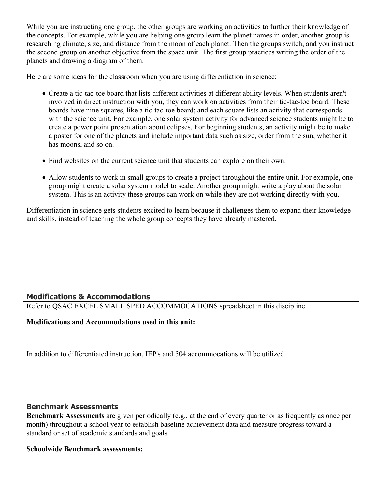While you are instructing one group, the other groups are working on activities to further their knowledge of the concepts. For example, while you are helping one group learn the planet names in order, another group is researching climate, size, and distance from the moon of each planet. Then the groups switch, and you instruct the second group on another objective from the space unit. The first group practices writing the order of the planets and drawing a diagram of them.

Here are some ideas for the classroom when you are using differentiation in science:

- Create a tic-tac-toe board that lists different activities at different ability levels. When students aren't involved in direct instruction with you, they can work on activities from their tic-tac-toe board. These boards have nine squares, like a tic-tac-toe board; and each square lists an activity that corresponds with the science unit. For example, one solar system activity for advanced science students might be to create a power point presentation about eclipses. For beginning students, an activity might be to make a poster for one of the planets and include important data such as size, order from the sun, whether it has moons, and so on.
- Find websites on the current science unit that students can explore on their own.
- Allow students to work in small groups to create a project throughout the entire unit. For example, one group might create a solar system model to scale. Another group might write a play about the solar system. This is an activity these groups can work on while they are not working directly with you.

Differentiation in science gets students excited to learn because it challenges them to expand their knowledge and skills, instead of teaching the whole group concepts they have already mastered.

## **Modifications & Accommodations**

Refer to QSAC EXCEL SMALL SPED ACCOMMOCATIONS spreadsheet in this discipline.

## **Modifications and Accommodations used in this unit:**

In addition to differentiated instruction, IEP's and 504 accommocations will be utilized.

## **Benchmark Assessments**

**Benchmark Assessments** are given periodically (e.g., at the end of every quarter or as frequently as once per month) throughout a school year to establish baseline achievement data and measure progress toward a standard or set of academic standards and goals.

#### **Schoolwide Benchmark assessments:**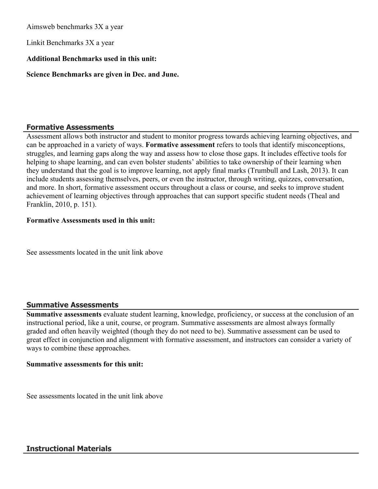Aimsweb benchmarks 3X a year

Linkit Benchmarks 3X a year

## **Additional Benchmarks used in this unit:**

**Science Benchmarks are given in Dec. and June.** 

## **Formative Assessments**

Assessment allows both instructor and student to monitor progress towards achieving learning objectives, and can be approached in a variety of ways. **Formative assessment** refers to tools that identify misconceptions, struggles, and learning gaps along the way and assess how to close those gaps. It includes effective tools for helping to shape learning, and can even bolster students' abilities to take ownership of their learning when they understand that the goal is to improve learning, not apply final marks (Trumbull and Lash, 2013). It can include students assessing themselves, peers, or even the instructor, through writing, quizzes, conversation, and more. In short, formative assessment occurs throughout a class or course, and seeks to improve student achievement of learning objectives through approaches that can support specific student needs (Theal and Franklin, 2010, p. 151).

#### **Formative Assessments used in this unit:**

See assessments located in the unit link above

## **Summative Assessments**

**Summative assessments** evaluate student learning, knowledge, proficiency, or success at the conclusion of an instructional period, like a unit, course, or program. Summative assessments are almost always formally graded and often heavily weighted (though they do not need to be). Summative assessment can be used to great effect in conjunction and alignment with formative assessment, and instructors can consider a variety of ways to combine these approaches.

#### **Summative assessments for this unit:**

See assessments located in the unit link above